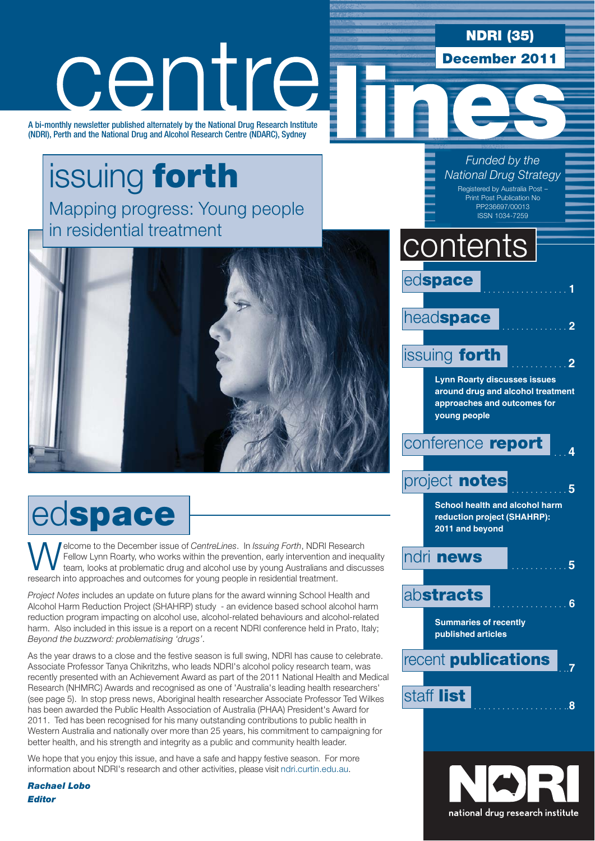### **NDRI (35)**

**December 2011**

# centre

A bi-monthly newsletter published alternately by the National Drug Research Institute (NDRI), Perth and the National Drug and Alcohol Research Centre (NDARC), Sydney

### issuing **forth** Mapping progress: Young people in residential treatment



# ed**space**

Welcome to the December issue of *CentreLines*. In *Issuing Forth*, NDRI Research Fellow Lynn Roarty, who works within the prevention, early intervention and inequality team, looks at problematic drug and alcohol use by yo Fellow Lynn Roarty, who works within the prevention, early intervention and inequality research into approaches and outcomes for young people in residential treatment.

*Project Notes* includes an update on future plans for the award winning School Health and Alcohol Harm Reduction Project (SHAHRP) study - an evidence based school alcohol harm reduction program impacting on alcohol use, alcohol-related behaviours and alcohol-related harm. Also included in this issue is a report on a recent NDRI conference held in Prato, Italy; *Beyond the buzzword: problematising 'drugs'*.

As the year draws to a close and the festive season is full swing, NDRI has cause to celebrate. Associate Professor Tanya Chikritzhs, who leads NDRI's alcohol policy research team, was recently presented with an Achievement Award as part of the 2011 National Health and Medical Research (NHMRC) Awards and recognised as one of 'Australia's leading health researchers' (see page 5). In stop press news, Aboriginal health researcher Associate Professor Ted Wilkes has been awarded the Public Health Association of Australia (PHAA) President's Award for 2011. Ted has been recognised for his many outstanding contributions to public health in Western Australia and nationally over more than 25 years, his commitment to campaigning for better health, and his strength and integrity as a public and community health leader.

We hope that you enjoy this issue, and have a safe and happy festive season. For more information about NDRI's research and other activities, please visit ndri.curtin.edu.au.

*Rachael Lobo Editor*

ed**space** .................. **<sup>1</sup>** head**space issuing forth Lynn Roarty discusses issues around drug and alcohol treatment approaches and outcomes for young people** conference **report** project **notes School health and alcohol harm reduction project (SHAHRP): 2011 and beyond** ndri **news** ............ **<sup>5</sup>** ab**stracts** ................ **<sup>6</sup> Summaries of recently published articles recent publications** staff list **contents** *Funded by the National Drug Strategy* Registered by Australia Post – Print Post Publication No PP236697/00013 ISSN 1034-7259

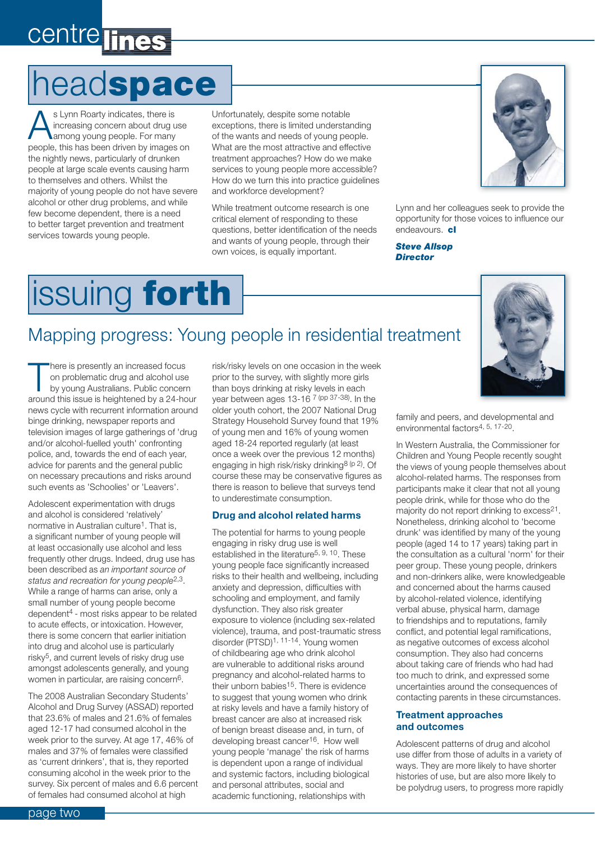### centre lines

### head**space**

s Lynn Roarty indicates, there is<br>
increasing concern about drug u<br>
among young people. For many<br>
people this has been driven by images increasing concern about drug use people, this has been driven by images on the nightly news, particularly of drunken people at large scale events causing harm to themselves and others. Whilst the majority of young people do not have severe alcohol or other drug problems, and while few become dependent, there is a need to better target prevention and treatment services towards young people.

Unfortunately, despite some notable exceptions, there is limited understanding of the wants and needs of young people. What are the most attractive and effective treatment approaches? How do we make services to young people more accessible? How do we turn this into practice guidelines and workforce development?

While treatment outcome research is one critical element of responding to these questions, better identification of the needs and wants of young people, through their own voices, is equally important.



Lynn and her colleagues seek to provide the opportunity for those voices to influence our endeavours. **cl**

*Steve Allsop Director*

# issuing **forth**

### Mapping progress: Young people in residential treatment

There is presently an increased focus<br>
on problematic drug and alcohol use<br>
by young Australians. Public concern<br>
orgund this issue is beightened by a 24 bou on problematic drug and alcohol use around this issue is heightened by a 24-hour news cycle with recurrent information around binge drinking, newspaper reports and television images of large gatherings of 'drug and/or alcohol-fuelled youth' confronting police, and, towards the end of each year, advice for parents and the general public on necessary precautions and risks around such events as 'Schoolies' or 'Leavers'.

Adolescent experimentation with drugs and alcohol is considered 'relatively' normative in Australian culture<sup>1</sup>. That is, a significant number of young people will at least occasionally use alcohol and less frequently other drugs. Indeed, drug use has been described as *an important source of status and recreation for young people*2,3. While a range of harms can arise, only a small number of young people become dependent4 - most risks appear to be related to acute effects, or intoxication. However, there is some concern that earlier initiation into drug and alcohol use is particularly risky5, and current levels of risky drug use amongst adolescents generally, and young women in particular, are raising concern6.

The 2008 Australian Secondary Students' Alcohol and Drug Survey (ASSAD) reported that 23.6% of males and 21.6% of females aged 12-17 had consumed alcohol in the week prior to the survey. At age 17, 46% of males and 37% of females were classified as 'current drinkers', that is, they reported consuming alcohol in the week prior to the survey. Six percent of males and 6.6 percent of females had consumed alcohol at high

risk/risky levels on one occasion in the week prior to the survey, with slightly more girls than boys drinking at risky levels in each year between ages 13-16 7 (pp 37-38). In the older youth cohort, the 2007 National Drug Strategy Household Survey found that 19% of young men and 16% of young women aged 18-24 reported regularly (at least once a week over the previous 12 months) engaging in high risk/risky drinking8 (p 2). Of course these may be conservative figures as there is reason to believe that surveys tend to underestimate consumption.

#### **Drug and alcohol related harms**

The potential for harms to young people engaging in risky drug use is well established in the literature<sup>5, 9, 10</sup>. These young people face significantly increased risks to their health and wellbeing, including anxiety and depression, difficulties with schooling and employment, and family dysfunction. They also risk greater exposure to violence (including sex-related violence), trauma, and post-traumatic stress disorder (PTSD)1, 11-14. Young women of childbearing age who drink alcohol are vulnerable to additional risks around pregnancy and alcohol-related harms to their unborn babies15. There is evidence to suggest that young women who drink at risky levels and have a family history of breast cancer are also at increased risk of benign breast disease and, in turn, of developing breast cancer16. How well young people 'manage' the risk of harms is dependent upon a range of individual and systemic factors, including biological and personal attributes, social and academic functioning, relationships with

family and peers, and developmental and environmental factors4, 5, 17-20.

In Western Australia, the Commissioner for Children and Young People recently sought the views of young people themselves about alcohol-related harms. The responses from participants make it clear that not all young people drink, while for those who do the majority do not report drinking to excess<sup>21</sup>. Nonetheless, drinking alcohol to 'become drunk' was identified by many of the young people (aged 14 to 17 years) taking part in the consultation as a cultural 'norm' for their peer group. These young people, drinkers and non-drinkers alike, were knowledgeable and concerned about the harms caused by alcohol-related violence, identifying verbal abuse, physical harm, damage to friendships and to reputations, family conflict, and potential legal ramifications, as negative outcomes of excess alcohol consumption. They also had concerns about taking care of friends who had had too much to drink, and expressed some uncertainties around the consequences of contacting parents in these circumstances.

#### **Treatment approaches and outcomes**

Adolescent patterns of drug and alcohol use differ from those of adults in a variety of ways. They are more likely to have shorter histories of use, but are also more likely to be polydrug users, to progress more rapidly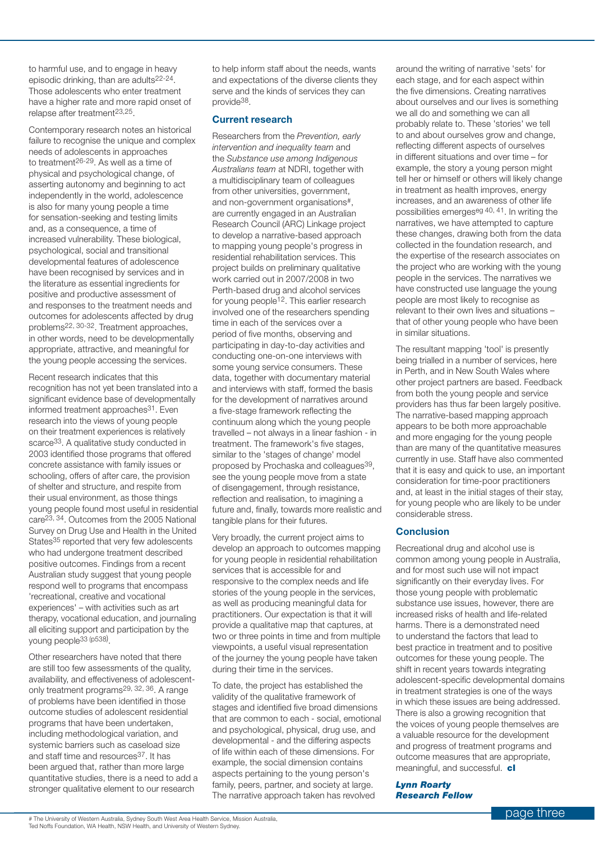to harmful use, and to engage in heavy episodic drinking, than are adults22-24. Those adolescents who enter treatment have a higher rate and more rapid onset of relapse after treatment23,25.

Contemporary research notes an historical failure to recognise the unique and complex needs of adolescents in approaches to treatment26-29. As well as a time of physical and psychological change, of asserting autonomy and beginning to act independently in the world, adolescence is also for many young people a time for sensation-seeking and testing limits and, as a consequence, a time of increased vulnerability. These biological, psychological, social and transitional developmental features of adolescence have been recognised by services and in the literature as essential ingredients for positive and productive assessment of and responses to the treatment needs and outcomes for adolescents affected by drug problems22, 30-32. Treatment approaches, in other words, need to be developmentally appropriate, attractive, and meaningful for the young people accessing the services.

Recent research indicates that this recognition has not yet been translated into a significant evidence base of developmentally informed treatment approaches<sup>31</sup>. Even research into the views of young people on their treatment experiences is relatively scarce<sup>33</sup>. A qualitative study conducted in 2003 identified those programs that offered concrete assistance with family issues or schooling, offers of after care, the provision of shelter and structure, and respite from their usual environment, as those things young people found most useful in residential care23, 34. Outcomes from the 2005 National Survey on Drug Use and Health in the United States<sup>35</sup> reported that very few adolescents who had undergone treatment described positive outcomes. Findings from a recent Australian study suggest that young people respond well to programs that encompass 'recreational, creative and vocational experiences' – with activities such as art therapy, vocational education, and journaling all eliciting support and participation by the young people<sup>33 (p538)</sup>.

Other researchers have noted that there are still too few assessments of the quality, availability, and effectiveness of adolescentonly treatment programs29, 32, 36. A range of problems have been identified in those outcome studies of adolescent residential programs that have been undertaken, including methodological variation, and systemic barriers such as caseload size and staff time and resources<sup>37</sup>. It has been argued that, rather than more large quantitative studies, there is a need to add a stronger qualitative element to our research

to help inform staff about the needs, wants and expectations of the diverse clients they serve and the kinds of services they can provide38.

#### **Current research**

Researchers from the *Prevention, early intervention and inequality team* and the *Substance use among Indigenous Australians team* at NDRI, together with a multidisciplinary team of colleagues from other universities, government, and non-government organisations#, are currently engaged in an Australian Research Council (ARC) Linkage project to develop a narrative-based approach to mapping young people's progress in residential rehabilitation services. This project builds on preliminary qualitative work carried out in 2007/2008 in two Perth-based drug and alcohol services for young people<sup>12</sup>. This earlier research involved one of the researchers spending time in each of the services over a period of five months, observing and participating in day-to-day activities and conducting one-on-one interviews with some young service consumers. These data, together with documentary material and interviews with staff, formed the basis for the development of narratives around a five-stage framework reflecting the continuum along which the young people travelled – not always in a linear fashion - in treatment. The framework's five stages, similar to the 'stages of change' model proposed by Prochaska and colleagues39, see the young people move from a state of disengagement, through resistance, reflection and realisation, to imagining a future and, finally, towards more realistic and tangible plans for their futures.

Very broadly, the current project aims to develop an approach to outcomes mapping for young people in residential rehabilitation services that is accessible for and responsive to the complex needs and life stories of the young people in the services, as well as producing meaningful data for practitioners. Our expectation is that it will provide a qualitative map that captures, at two or three points in time and from multiple viewpoints, a useful visual representation of the journey the young people have taken during their time in the services.

To date, the project has established the validity of the qualitative framework of stages and identified five broad dimensions that are common to each - social, emotional and psychological, physical, drug use, and developmental - and the differing aspects of life within each of these dimensions. For example, the social dimension contains aspects pertaining to the young person's family, peers, partner, and society at large. The narrative approach taken has revolved

around the writing of narrative 'sets' for each stage, and for each aspect within the five dimensions. Creating narratives about ourselves and our lives is something we all do and something we can all probably relate to. These 'stories' we tell to and about ourselves grow and change, reflecting different aspects of ourselves in different situations and over time – for example, the story a young person might tell her or himself or others will likely change in treatment as health improves, energy increases, and an awareness of other life possibilities emergeseg 40, 41. In writing the narratives, we have attempted to capture these changes, drawing both from the data collected in the foundation research, and the expertise of the research associates on the project who are working with the young people in the services. The narratives we have constructed use language the young people are most likely to recognise as relevant to their own lives and situations – that of other young people who have been in similar situations.

The resultant mapping 'tool' is presently being trialled in a number of services, here in Perth, and in New South Wales where other project partners are based. Feedback from both the young people and service providers has thus far been largely positive. The narrative-based mapping approach appears to be both more approachable and more engaging for the young people than are many of the quantitative measures currently in use. Staff have also commented that it is easy and quick to use, an important consideration for time-poor practitioners and, at least in the initial stages of their stay, for young people who are likely to be under considerable stress.

#### **Conclusion**

Recreational drug and alcohol use is common among young people in Australia, and for most such use will not impact significantly on their everyday lives. For those young people with problematic substance use issues, however, there are increased risks of health and life-related harms. There is a demonstrated need to understand the factors that lead to best practice in treatment and to positive outcomes for these young people. The shift in recent years towards integrating adolescent-specific developmental domains in treatment strategies is one of the ways in which these issues are being addressed. There is also a growing recognition that the voices of young people themselves are a valuable resource for the development and progress of treatment programs and outcome measures that are appropriate, meaningful, and successful. **cl**

*Lynn Roarty Research Fellow*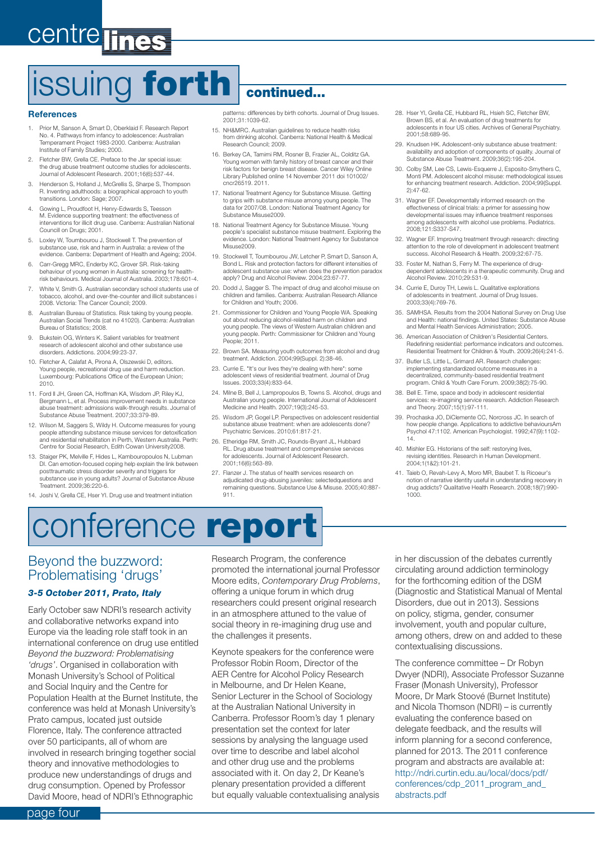### centre lines

# issuing **forth continued...**

#### **References**

- 1. Prior M, Sanson A, Smart D, Oberklaid F. Research Report No. 4. Pathways from infancy to adolescence: Australian Temperament Project 1983-2000. Canberra: Australian Institute of Family Studies; 2000.
- 2. Fletcher BW, Grella CE. Preface to the Jar special issue: the drug abuse treatment outcome studies for adolescents. Journal of Adolescent Research. 2001;16(6):537-44.
- 3. Henderson S, Holland J, McGrellis S, Sharpe S, Thompson R. Inventing adulthoods: a biographical approach to youth transitions. London: Sage; 2007.
- 4. Gowing L, Proudfoot H, Henry-Edwards S, Teesson M. Evidence supporting treatment: the effectiveness of interventions for illicit drug use. Canberra: Australian National Councill on Drugs; 2001.
- 5. Loxley W, Toumbourou J, Stockwell T. The prevention of substance use, risk and harm in Australia: a review of the evidence. Canberra: Department of Health and Ageing; 2004.
- 6. Carr-Gregg MRC, Enderby KC, Grover SR. Risk-taking behaviour of young women in Australia: screening for healthrisk behaviours. Medical Journal of Australia. 2003;178:601-4.
- 7. White V, Smith G. Australian secondary school students use of tobacco, alcohol, and over-the-counter and illicit substances i 2008. Victoria: The Cancer Council; 2009.
- 8. Australian Bureau of Statistics. Risk taking by young people. Australian Social Trends (cat no 41020). Canberra: Australian Bureau of Statistics; 2008.
- 9. Bukstein OG, Winters K. Salient variables for treatment research of adolescent alcohol and other substance use disorders. Addictions. 2004;99:23-37.
- 10. Fletcher A, Calafat A, Pirona A, Olszewski D, editors. Young people, recreational drug use and harm reduction. Luxembourg: Publications Office of the European Union; 2010.
- 11. Ford II JH, Green CA, Hoffman KA, Wisdom JP, Riley KJ, Bergmann L, et al. Process improvement needs in substance abuse treatment: admissions walk-through results. Journal of Substance Abuse Treatment. 2007;33:379-89.
- 12. Wilson M, Saggers S, Wildy H. Outcome measures for young people attending substance misuse services for detoxification and residential rehabilitation in Perth, Western Australia. Perth: Centre for Social Research, Edith Cowan University2008.
- 13. Staiger PK, Melville F, Hides L, Kambouropoulos N, Lubman DI. Can emotion-focused coping help explain the link between posttraumatic stress disorder severity and triggers for substance use in young adults? Journal of Substance Abuse Treatment. 2009;36:220-6.

patterns: differences by birth cohorts. Journal of Drug Issues. 2001;31:1039-62.

- 15. NH&MRC. Australian guidelines to reduce health risks from drinking alcohol. Canberra: National Health & Medical Research Council; 2009.
- 16. Berkey CA, Tamimi RM, Rosner B, Frazier AL, Colditz GA. Young women with family history of breast cancer and their risk factors for benign breast disease. Cancer Wiley Online Library Published online 14 November 2011 doi 101002/ cncr26519. 2011.
- 17. National Treatment Agency for Substance Misuse. Getting to grips with substance misuse among young people. The data for 2007/08. London: National Treatment Agency for Substance Misuse2009.
- 18. National Treatment Agency for Substance Misuse. Young people's specialist substance misuse treatment. Exploring the evidence. London: National Treatment Agency for Substance Misuse2009.
- 19. Stockwell T, Toumbourou JW, Letcher P, Smart D, Sanson A Bond L. Risk and protection factors for different intensities of adolescent substance use: when does the prevention paradox apply? Drug and Alcohol Review. 2004;23:67-77.
- 20. Dodd J, Sagger S. The impact of drug and alcohol misuse on children and families. Canberra: Australian Research Alliance for Children and Youth; 2006.
- 21. Commissioner for Children and Young People WA. Speaking out about reducing alcohol-related harm on children and young people. The views of Western Australian children and young people. Perth: Commissioner for Children and Young People; 2011.
- 22. Brown SA. Measuring youth outcomes from alcohol and drug treatment. Addiction. 2004;99(Suppl. 2):38-46.
- 23. Currie E. "It's our lives they're dealing with here": some adolescent views of residential treatment. Journal of Drug Issues. 2003;33(4):833-64.
- 24. Milne B, Bell J, Lampropoulos B, Towns S. Alcohol, drugs and Australian young people. International Journal of Adolescent Medicine and Health. 2007;19(3):245-53.
- 25. Wisdom JP, Gogel LP. Perspectives on adolescent residential substance abuse treatment: when are adolescents done? Psychiatric Services. 2010;61:817-21.
- 26. Etheridge RM, Smith JC, Rounds-Bryant JL, Hubbard RL. Drug abuse treatment and comprehensive services for adolescents. Journal of Adolescent Research. 2001:16(6):563-89
- 27. Flanzer J. The status of health services research on adjudicated drug-abusing juveniles: selectedquestions and remaining questions. Substance Use & Misuse. 2005;40:887- 911.
- 28. Hser YI, Grella CE, Hubbard RL, Hsieh SC, Fletcher BW, Brown BS, et al. An evaluation of drug treatments for adolescents in four US cities. Archives of General Psychiatry. 2001;58:689-95.
- 29. Knudsen HK. Adolescent-only substance abuse treatment: availability and adoption of components of quality. Journal of Substance Abuse Treatment. 2009;36(2):195-204.
- 30. Colby SM, Lee CS, Lewis-Esquerre J, Esposito-Smythers C, Monti PM. Adolescent alcohol misuse: methodologi for enhancing treatment research. Addiction. 2004;99(Suppl. 2):47-62.
- 31. Wagner EF. Developmentally informed research on the effectiveness of clinical trials: a primer for assessing how developmental issues may influence treatment responses among adolescents with alcohol use problems. Pediatrics. 2008;121:S337-S47.
- 32. Wagner EF. Improving treatment through research: directing attention to the role of development in adolescent treatment success. Alcohol Research & Health. 2009;32:67-75.
- 33. Foster M, Nathan S, Ferry M. The experience of drugdependent adolescents in a therapeutic community. Drug and Alcohol Review. 2010;29:531-9.
- 34. Currie E, Duroy TH, Lewis L. Qualitative explorations of adolescents in treatment. Journal of Drug Issues. 2003;33(4):769-76.
- 35. SAMHSA. Results from the 2004 National Survey on Drug Use and Health: national findings. United States: Substance Abuse and Mental Health Services Administration; 2005.
- 36. American Association of Children's Residential Centers. Redefining residential: performance indicators and outcomes. Residential Treatment for Children & Youth. 2009;26(4):241-5.
- 37. Butler LS, Little L, Grimard AR. Research challenges: implementing standardized outcome measures in a decentralized, community-based residential treatment program. Child & Youth Care Forum. 2009;38(2):75-90.
- 38. Bell E. Time, space and body in adolescent residential services: re-imagining service research. Addiction Research and Theory. 2007;15(1):97-111.
- 39. Prochaska JO, DiClemente CC, Norcross JC. In search of how people change. Applications to addictive behavioursAm Psychol 47:1102. American Psychologist. 1992;47(9):1102- 14.
- 40. Mishler EG. Historians of the self: restorying lives, revising identities. Research in Human Development. 2004;1(1&2):101-21.
- 41. Taieb O, Revah-Levy A, Moro MR, Baubet T. Is Ricoeur's notion of narrative identity useful in understanding recovery in drug addicts? Qualitative Health Research. 2008;18(7):990-1000.

14. Joshi V, Grella CE, Hser YI. Drug use and treatment initiation

### conference **report**

#### Beyond the buzzword: Problematising 'drugs'

#### *3-5 October 2011, Prato, Italy*

Early October saw NDRI's research activity and collaborative networks expand into Europe via the leading role staff took in an international conference on drug use entitled *Beyond the buzzword: Problematising 'drugs'*. Organised in collaboration with Monash University's School of Political and Social Inquiry and the Centre for Population Health at the Burnet Institute, the conference was held at Monash University's Prato campus, located just outside Florence, Italy. The conference attracted over 50 participants, all of whom are involved in research bringing together social theory and innovative methodologies to produce new understandings of drugs and drug consumption. Opened by Professor David Moore, head of NDRI's Ethnographic

Research Program, the conference promoted the international journal Professor Moore edits, *Contemporary Drug Problems*, offering a unique forum in which drug researchers could present original research in an atmosphere attuned to the value of social theory in re-imagining drug use and the challenges it presents.

Keynote speakers for the conference were Professor Robin Room, Director of the AER Centre for Alcohol Policy Research in Melbourne, and Dr Helen Keane, Senior Lecturer in the School of Sociology at the Australian National University in Canberra. Professor Room's day 1 plenary presentation set the context for later sessions by analysing the language used over time to describe and label alcohol and other drug use and the problems associated with it. On day 2, Dr Keane's plenary presentation provided a different but equally valuable contextualising analysis in her discussion of the debates currently circulating around addiction terminology for the forthcoming edition of the DSM (Diagnostic and Statistical Manual of Mental Disorders, due out in 2013). Sessions on policy, stigma, gender, consumer involvement, youth and popular culture, among others, drew on and added to these contextualising discussions.

The conference committee – Dr Robyn Dwyer (NDRI), Associate Professor Suzanne Fraser (Monash University), Professor Moore, Dr Mark Stoové (Burnet Institute) and Nicola Thomson (NDRI) – is currently evaluating the conference based on delegate feedback, and the results will inform planning for a second conference, planned for 2013. The 2011 conference program and abstracts are available at: http://ndri.curtin.edu.au/local/docs/pdf/ conferences/cdp\_2011\_program\_and\_ abstracts.pdf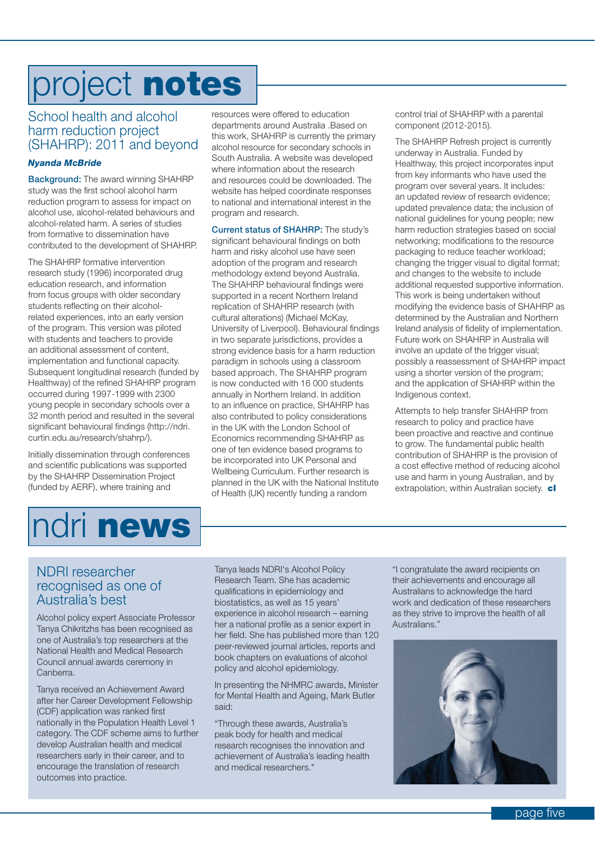# project **notes**

#### School health and alcohol harm reduction project (SHAHRP): 2011 and beyond

#### *Nyanda McBride*

**Background:** The award winning SHAHRP study was the first school alcohol harm reduction program to assess for impact on alcohol use, alcohol-related behaviours and alcohol-related harm. A series of studies from formative to dissemination have contributed to the development of SHAHRP.

The SHAHRP formative intervention research study (1996) incorporated drug education research, and information from focus groups with older secondary students reflecting on their alcoholrelated experiences, into an early version of the program. This version was piloted with students and teachers to provide an additional assessment of content, implementation and functional capacity. Subsequent longitudinal research (funded by Healthway) of the refined SHAHRP program occurred during 1997-1999 with 2300 young people in secondary schools over a 32 month period and resulted in the several significant behavioural findings (http://ndri. curtin.edu.au/research/shahrp/).

Initially dissemination through conferences and scientific publications was supported by the SHAHRP Dissemination Project (funded by AERF), where training and

resources were offered to education departments around Australia .Based on this work, SHAHRP is currently the primary alcohol resource for secondary schools in South Australia. A website was developed where information about the research and resources could be downloaded. The website has helped coordinate responses to national and international interest in the program and research.

**Current status of SHAHRP:** The study's significant behavioural findings on both harm and risky alcohol use have seen adoption of the program and research methodology extend beyond Australia. The SHAHRP behavioural findings were supported in a recent Northern Ireland replication of SHAHRP research (with cultural alterations) (Michael McKay, University of Liverpool). Behavioural findings in two separate jurisdictions, provides a strong evidence basis for a harm reduction paradigm in schools using a classroom based approach. The SHAHRP program is now conducted with 16 000 students annually in Northern Ireland. In addition to an influence on practice, SHAHRP has also contributed to policy considerations in the UK with the London School of Economics recommending SHAHRP as one of ten evidence based programs to be incorporated into UK Personal and Wellbeing Curriculum. Further research is planned in the UK with the National Institute of Health (UK) recently funding a random

control trial of SHAHRP with a parental component (2012-2015).

The SHAHRP Refresh project is currently underway in Australia. Funded by Healthway, this project incorporates input from key informants who have used the program over several years. It includes: an updated review of research evidence; updated prevalence data; the inclusion of national guidelines for young people; new harm reduction strategies based on social networking; modifications to the resource packaging to reduce teacher workload; changing the trigger visual to digital format; and changes to the website to include additional requested supportive information. This work is being undertaken without modifying the evidence basis of SHAHRP as determined by the Australian and Northern Ireland analysis of fidelity of implementation. Future work on SHAHRP in Australia will involve an update of the trigger visual; possibly a reassessment of SHAHRP impact using a shorter version of the program; and the application of SHAHRP within the Indigenous context.

Attempts to help transfer SHAHRP from research to policy and practice have been proactive and reactive and continue to grow. The fundamental public health contribution of SHAHRP is the provision of a cost effective method of reducing alcohol use and harm in young Australian, and by extrapolation, within Australian society. **cl**

# ndri **news**

#### NDRI researcher recognised as one of Australia's best

Alcohol policy expert Associate Professor Tanya Chikritzhs has been recognised as one of Australia's top researchers at the National Health and Medical Research Council annual awards ceremony in Canberra.

Tanya received an Achievement Award after her Career Development Fellowship (CDF) application was ranked first nationally in the Population Health Level 1 category. The CDF scheme aims to further develop Australian health and medical researchers early in their career, and to encourage the translation of research outcomes into practice.

Tanya leads NDRI's Alcohol Policy Research Team. She has academic qualifications in epidemiology and biostatistics, as well as 15 years' experience in alcohol research – earning her a national profile as a senior expert in her field. She has published more than 120 peer-reviewed journal articles, reports and book chapters on evaluations of alcohol policy and alcohol epidemiology.

In presenting the NHMRC awards, Minister for Mental Health and Ageing, Mark Butler said:

"Through these awards, Australia's peak body for health and medical research recognises the innovation and achievement of Australia's leading health and medical researchers."

"I congratulate the award recipients on their achievements and encourage all Australians to acknowledge the hard work and dedication of these researchers as they strive to improve the health of all Australians."

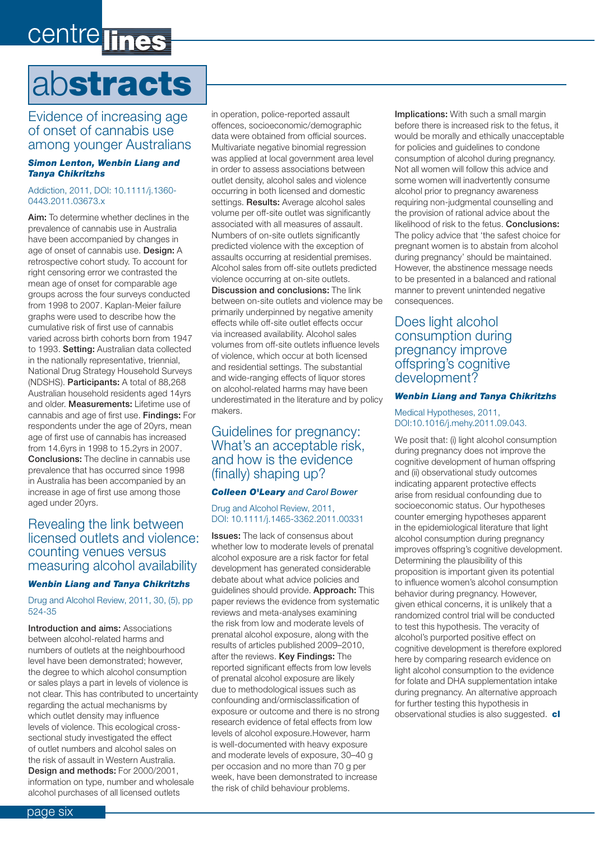### centre lines

# ab**stracts**

#### Evidence of increasing age of onset of cannabis use among younger Australians

#### *Simon Lenton, Wenbin Liang and Tanya Chikritzhs*

#### Addiction, 2011, DOI: 10.1111/j.1360- 0443.2011.03673.x

**Aim:** To determine whether declines in the prevalence of cannabis use in Australia have been accompanied by changes in age of onset of cannabis use. **Design:** A retrospective cohort study. To account for right censoring error we contrasted the mean age of onset for comparable age groups across the four surveys conducted from 1998 to 2007. Kaplan-Meier failure graphs were used to describe how the cumulative risk of first use of cannabis varied across birth cohorts born from 1947 to 1993. **Setting:** Australian data collected in the nationally representative, triennial, National Drug Strategy Household Surveys (NDSHS). **Participants:** A total of 88,268 Australian household residents aged 14yrs and older. **Measurements:** Lifetime use of cannabis and age of first use. **Findings:** For respondents under the age of 20yrs, mean age of first use of cannabis has increased from 14.6yrs in 1998 to 15.2yrs in 2007. **Conclusions:** The decline in cannabis use prevalence that has occurred since 1998 in Australia has been accompanied by an increase in age of first use among those aged under 20yrs.

#### Revealing the link between licensed outlets and violence: counting venues versus measuring alcohol availability

#### *Wenbin Liang and Tanya Chikritzhs*

Drug and Alcohol Review, 2011, 30, (5), pp 524-35

**Introduction and aims:** Associations between alcohol-related harms and numbers of outlets at the neighbourhood level have been demonstrated; however, the degree to which alcohol consumption or sales plays a part in levels of violence is not clear. This has contributed to uncertainty regarding the actual mechanisms by which outlet density may influence levels of violence. This ecological crosssectional study investigated the effect of outlet numbers and alcohol sales on the risk of assault in Western Australia. **Design and methods:** For 2000/2001, information on type, number and wholesale alcohol purchases of all licensed outlets

in operation, police-reported assault offences, socioeconomic/demographic data were obtained from official sources. Multivariate negative binomial regression was applied at local government area level in order to assess associations between outlet density, alcohol sales and violence occurring in both licensed and domestic settings. **Results:** Average alcohol sales volume per off-site outlet was significantly associated with all measures of assault. Numbers of on-site outlets significantly predicted violence with the exception of assaults occurring at residential premises. Alcohol sales from off-site outlets predicted violence occurring at on-site outlets. **Discussion and conclusions:** The link between on-site outlets and violence may be primarily underpinned by negative amenity effects while off-site outlet effects occur via increased availability. Alcohol sales volumes from off-site outlets influence levels of violence, which occur at both licensed and residential settings. The substantial and wide-ranging effects of liquor stores on alcohol-related harms may have been underestimated in the literature and by policy makers.

#### Guidelines for pregnancy: What's an acceptable risk, and how is the evidence (finally) shaping up?

#### *Colleen O'Leary and Carol Bower*

#### Drug and Alcohol Review, 2011, DOI: 10.1111/j.1465-3362.2011.00331

**Issues:** The lack of consensus about whether low to moderate levels of prenatal alcohol exposure are a risk factor for fetal development has generated considerable debate about what advice policies and guidelines should provide. **Approach:** This paper reviews the evidence from systematic reviews and meta-analyses examining the risk from low and moderate levels of prenatal alcohol exposure, along with the results of articles published 2009–2010, after the reviews. **Key Findings:** The reported significant effects from low levels of prenatal alcohol exposure are likely due to methodological issues such as confounding and/ormisclassification of exposure or outcome and there is no strong research evidence of fetal effects from low levels of alcohol exposure.However, harm is well-documented with heavy exposure and moderate levels of exposure, 30–40 g per occasion and no more than 70 g per week, have been demonstrated to increase the risk of child behaviour problems.

**Implications:** With such a small margin before there is increased risk to the fetus, it would be morally and ethically unacceptable for policies and guidelines to condone consumption of alcohol during pregnancy. Not all women will follow this advice and some women will inadvertently consume alcohol prior to pregnancy awareness requiring non-judgmental counselling and the provision of rational advice about the likelihood of risk to the fetus. **Conclusions:**  The policy advice that 'the safest choice for pregnant women is to abstain from alcohol during pregnancy' should be maintained. However, the abstinence message needs to be presented in a balanced and rational manner to prevent unintended negative consequences.

#### Does light alcohol consumption during pregnancy improve offspring's cognitive development?

#### *Wenbin Liang and Tanya Chikritzhs*

Medical Hypotheses, 2011, DOI:10.1016/j.mehy.2011.09.043.

We posit that: (i) light alcohol consumption during pregnancy does not improve the cognitive development of human offspring and (ii) observational study outcomes indicating apparent protective effects arise from residual confounding due to socioeconomic status. Our hypotheses counter emerging hypotheses apparent in the epidemiological literature that light alcohol consumption during pregnancy improves offspring's cognitive development. Determining the plausibility of this proposition is important given its potential to influence women's alcohol consumption behavior during pregnancy. However, given ethical concerns, it is unlikely that a randomized control trial will be conducted to test this hypothesis. The veracity of alcohol's purported positive effect on cognitive development is therefore explored here by comparing research evidence on light alcohol consumption to the evidence for folate and DHA supplementation intake during pregnancy. An alternative approach for further testing this hypothesis in observational studies is also suggested. **cl**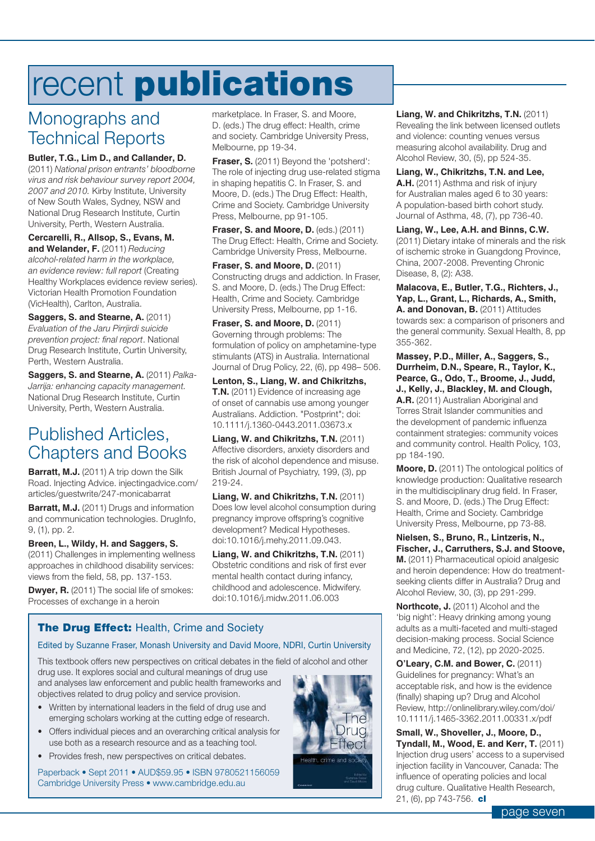# recent **publications**

### Monographs and Technical Reports

**Butler, T.G., Lim D., and Callander, D.** (2011) *National prison entrants' bloodborne virus and risk behaviour survey report 2004, 2007 and 2010.* Kirby Institute, University of New South Wales, Sydney, NSW and National Drug Research Institute, Curtin University, Perth, Western Australia.

**Cercarelli, R., Allsop, S., Evans, M. and Welander, F.** (2011) *Reducing alcohol-related harm in the workplace, an evidence review: full report* (Creating Healthy Workplaces evidence review series). Victorian Health Promotion Foundation (VicHealth), Carlton, Australia.

**Saggers, S. and Stearne, A. (2011)** *Evaluation of the Jaru Pirrjirdi suicide prevention project: final report*. National Drug Research Institute, Curtin University, Perth, Western Australia.

**Saggers, S. and Stearne, A.** (2011) *Palka-Jarrija: enhancing capacity management.* National Drug Research Institute, Curtin University, Perth, Western Australia.

### Published Articles, Chapters and Books

**Barratt, M.J.** (2011) A trip down the Silk Road. Injecting Advice. injectingadvice.com/ articles/guestwrite/247-monicabarrat

**Barratt, M.J.** (2011) Drugs and information and communication technologies. DrugInfo, 9, (1), pp. 2.

**Breen, L., Wildy, H. and Saggers, S.** (2011) Challenges in implementing wellness approaches in childhood disability services: views from the field, 58, pp. 137-153.

**Dwyer, R.** (2011) The social life of smokes: Processes of exchange in a heroin

marketplace. In Fraser, S. and Moore, D. (eds.) The drug effect: Health, crime and society. Cambridge University Press, Melbourne, pp 19-34.

**Fraser, S.** (2011) Beyond the 'potsherd': The role of injecting drug use-related stigma in shaping hepatitis C. In Fraser, S. and Moore, D. (eds.) The Drug Effect: Health, Crime and Society. Cambridge University Press, Melbourne, pp 91-105.

**Fraser, S. and Moore, D.** (eds.) (2011) The Drug Effect: Health, Crime and Society. Cambridge University Press, Melbourne.

**Fraser, S. and Moore, D.** (2011) Constructing drugs and addiction. In Fraser, S. and Moore, D. (eds.) The Drug Effect: Health, Crime and Society. Cambridge University Press, Melbourne, pp 1-16.

**Fraser, S. and Moore, D. (2011)** Governing through problems: The formulation of policy on amphetamine-type stimulants (ATS) in Australia. International Journal of Drug Policy, 22, (6), pp 498– 506.

**Lenton, S., Liang, W. and Chikritzhs, T.N.** (2011) Evidence of increasing age of onset of cannabis use among younger Australians. Addiction. "Postprint"; doi: 10.1111/j.1360-0443.2011.03673.x

**Liang, W. and Chikritzhs, T.N.** (2011) Affective disorders, anxiety disorders and the risk of alcohol dependence and misuse. British Journal of Psychiatry, 199, (3), pp 219-24.

**Liang, W. and Chikritzhs, T.N.** (2011) Does low level alcohol consumption during pregnancy improve offspring's cognitive development? Medical Hypotheses. doi:10.1016/j.mehy.2011.09.043.

**Liang, W. and Chikritzhs, T.N.** (2011) Obstetric conditions and risk of first ever mental health contact during infancy, childhood and adolescence. Midwifery. doi:10.1016/j.midw.2011.06.003

#### **The Drug Effect: Health, Crime and Society**

#### Edited by Suzanne Fraser, Monash University and David Moore, NDRI, Curtin University

This textbook offers new perspectives on critical debates in the field of alcohol and other

drug use. It explores social and cultural meanings of drug use and analyses law enforcement and public health frameworks and objectives related to drug policy and service provision.

- Written by international leaders in the field of drug use and emerging scholars working at the cutting edge of research.
- Offers individual pieces and an overarching critical analysis for use both as a research resource and as a teaching tool.
- Provides fresh, new perspectives on critical debates.

Paperback • Sept 2011 • AUD\$59.95 • ISBN 9780521156059 Cambridge University Press · www.cambridge.edu.au



**Liang, W. and Chikritzhs, T.N.** (2011) Revealing the link between licensed outlets and violence: counting venues versus measuring alcohol availability. Drug and Alcohol Review, 30, (5), pp 524-35.

**Liang, W., Chikritzhs, T.N. and Lee, A.H.** (2011) Asthma and risk of injury for Australian males aged 6 to 30 years: A population-based birth cohort study. Journal of Asthma, 48, (7), pp 736-40.

**Liang, W., Lee, A.H. and Binns, C.W.**  (2011) Dietary intake of minerals and the risk of ischemic stroke in Guangdong Province, China, 2007-2008. Preventing Chronic Disease, 8, (2): A38.

**Malacova, E., Butler, T.G., Richters, J., Yap, L., Grant, L., Richards, A., Smith, A. and Donovan, B.** (2011) Attitudes towards sex: a comparison of prisoners and the general community. Sexual Health, 8, pp 355-362.

**Massey, P.D., Miller, A., Saggers, S., Durrheim, D.N., Speare, R., Taylor, K., Pearce, G., Odo, T., Broome, J., Judd, J., Kelly, J., Blackley, M. and Clough, A.R.** (2011) Australian Aboriginal and Torres Strait Islander communities and the development of pandemic influenza

containment strategies: community voices and community control. Health Policy, 103, pp 184-190.

**Moore, D.** (2011) The ontological politics of knowledge production: Qualitative research in the multidisciplinary drug field. In Fraser, S. and Moore, D. (eds.) The Drug Effect: Health, Crime and Society. Cambridge University Press, Melbourne, pp 73-88.

**Nielsen, S., Bruno, R., Lintzeris, N., Fischer, J., Carruthers, S.J. and Stoove, M.** (2011) Pharmaceutical opioid analgesic and heroin dependence: How do treatmentseeking clients differ in Australia? Drug and Alcohol Review, 30, (3), pp 291-299.

**Northcote, J.** (2011) Alcohol and the 'big night': Heavy drinking among young adults as a multi-faceted and multi-staged decision-making process. Social Science and Medicine, 72, (12), pp 2020-2025.

**O'Leary, C.M. and Bower, C.** (2011) Guidelines for pregnancy: What's an acceptable risk, and how is the evidence (finally) shaping up? Drug and Alcohol Review, http://onlinelibrary.wiley.com/doi/ 10.1111/j.1465-3362.2011.00331.x/pdf

**Small, W., Shoveller, J., Moore, D., Tyndall, M., Wood, E. and Kerr, T.** (2011) Injection drug users' access to a supervised injection facility in Vancouver, Canada: The influence of operating policies and local drug culture. Qualitative Health Research, 21, (6), pp 743-756. **cl**